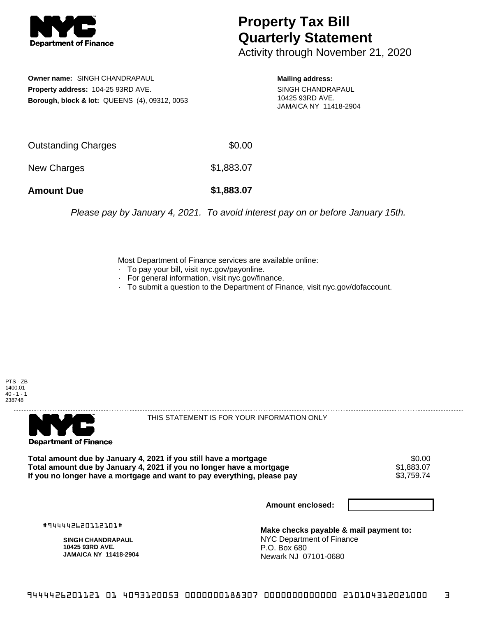

## **Property Tax Bill Quarterly Statement**

Activity through November 21, 2020

**Owner name:** SINGH CHANDRAPAUL **Property address:** 104-25 93RD AVE. **Borough, block & lot:** QUEENS (4), 09312, 0053

**Mailing address:** SINGH CHANDRAPAUL 10425 93RD AVE. JAMAICA NY 11418-2904

| <b>Amount Due</b>   | \$1,883.07 |
|---------------------|------------|
| New Charges         | \$1,883.07 |
| Outstanding Charges | \$0.00     |

Please pay by January 4, 2021. To avoid interest pay on or before January 15th.

Most Department of Finance services are available online:

- · To pay your bill, visit nyc.gov/payonline.
- For general information, visit nyc.gov/finance.
- · To submit a question to the Department of Finance, visit nyc.gov/dofaccount.





THIS STATEMENT IS FOR YOUR INFORMATION ONLY

Total amount due by January 4, 2021 if you still have a mortgage \$0.00<br>Total amount due by January 4, 2021 if you no longer have a mortgage \$1.883.07 **Total amount due by January 4, 2021 if you no longer have a mortgage**  $$1,883.07$ **<br>If you no longer have a mortgage and want to pay everything, please pay**  $$3,759.74$ If you no longer have a mortgage and want to pay everything, please pay

**Amount enclosed:**

#944442620112101#

**SINGH CHANDRAPAUL 10425 93RD AVE. JAMAICA NY 11418-2904**

**Make checks payable & mail payment to:** NYC Department of Finance P.O. Box 680 Newark NJ 07101-0680